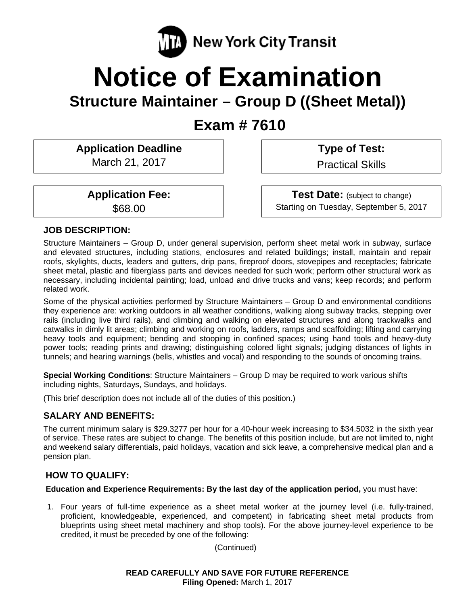

# **Notice of Examination**

## **Structure Maintainer – Group D ((Sheet Metal))**

 **Exam # 7610** 

**Application Deadline**  March 21, 2017

 **Type of Test:** 

Practical Skills

**Application Fee:**  \$68.00

**Test Date:** (subject to change) Starting on Tuesday, September 5, 2017

## **JOB DESCRIPTION:**

Structure Maintainers – Group D, under general supervision, perform sheet metal work in subway, surface and elevated structures, including stations, enclosures and related buildings; install, maintain and repair roofs, skylights, ducts, leaders and gutters, drip pans, fireproof doors, stovepipes and receptacles; fabricate sheet metal, plastic and fiberglass parts and devices needed for such work; perform other structural work as necessary, including incidental painting; load, unload and drive trucks and vans; keep records; and perform related work.

Some of the physical activities performed by Structure Maintainers – Group D and environmental conditions they experience are: working outdoors in all weather conditions, walking along subway tracks, stepping over rails (including live third rails), and climbing and walking on elevated structures and along trackwalks and catwalks in dimly lit areas; climbing and working on roofs, ladders, ramps and scaffolding; lifting and carrying heavy tools and equipment; bending and stooping in confined spaces; using hand tools and heavy-duty power tools; reading prints and drawing; distinguishing colored light signals; judging distances of lights in tunnels; and hearing warnings (bells, whistles and vocal) and responding to the sounds of oncoming trains.

**Special Working Conditions**: Structure Maintainers – Group D may be required to work various shifts including nights, Saturdays, Sundays, and holidays.

(This brief description does not include all of the duties of this position.)

## **SALARY AND BENEFITS:**

The current minimum salary is \$29.3277 per hour for a 40-hour week increasing to \$34.5032 in the sixth year of service. These rates are subject to change. The benefits of this position include, but are not limited to, night and weekend salary differentials, paid holidays, vacation and sick leave, a comprehensive medical plan and a pension plan.

## **HOW TO QUALIFY:**

**Education and Experience Requirements: By the last day of the application period,** you must have:

1. Four years of full-time experience as a sheet metal worker at the journey level (i.e. fully-trained, proficient, knowledgeable, experienced, and competent) in fabricating sheet metal products from blueprints using sheet metal machinery and shop tools). For the above journey-level experience to be credited, it must be preceded by one of the following:

(Continued)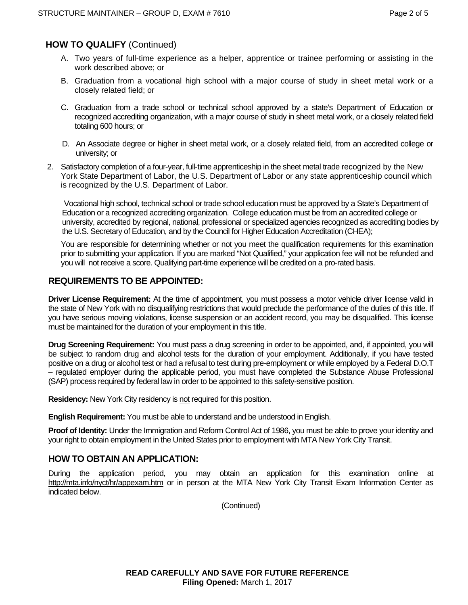## **HOW TO QUALIFY** (Continued)

- A. Two years of full-time experience as a helper, apprentice or trainee performing or assisting in the work described above; or
- B. Graduation from a vocational high school with a major course of study in sheet metal work or a closely related field; or
- C. Graduation from a trade school or technical school approved by a state's Department of Education or recognized accrediting organization, with a major course of study in sheet metal work, or a closely related field totaling 600 hours; or
- D. An Associate degree or higher in sheet metal work, or a closely related field, from an accredited college or university; or
- 2. Satisfactory completion of a four-year, full-time apprenticeship in the sheet metal trade recognized by the New York State Department of Labor, the U.S. Department of Labor or any state apprenticeship council which is recognized by the U.S. Department of Labor.

 Vocational high school, technical school or trade school education must be approved by a State's Department of Education or a recognized accrediting organization. College education must be from an accredited college or university, accredited by regional, national, professional or specialized agencies recognized as accrediting bodies by the U.S. Secretary of Education, and by the Council for Higher Education Accreditation (CHEA);

You are responsible for determining whether or not you meet the qualification requirements for this examination prior to submitting your application. If you are marked "Not Qualified," your application fee will not be refunded and you will not receive a score. Qualifying part-time experience will be credited on a pro-rated basis.

## **REQUIREMENTS TO BE APPOINTED:**

**Driver License Requirement:** At the time of appointment, you must possess a motor vehicle driver license valid in the state of New York with no disqualifying restrictions that would preclude the performance of the duties of this title. If you have serious moving violations, license suspension or an accident record, you may be disqualified. This license must be maintained for the duration of your employment in this title.

**Drug Screening Requirement:** You must pass a drug screening in order to be appointed, and, if appointed, you will be subject to random drug and alcohol tests for the duration of your employment. Additionally, if you have tested positive on a drug or alcohol test or had a refusal to test during pre-employment or while employed by a Federal D.O.T – regulated employer during the applicable period, you must have completed the Substance Abuse Professional (SAP) process required by federal law in order to be appointed to this safety-sensitive position.

**Residency:** New York City residency is not required for this position.

**English Requirement:** You must be able to understand and be understood in English.

**Proof of Identity:** Under the Immigration and Reform Control Act of 1986, you must be able to prove your identity and your right to obtain employment in the United States prior to employment with MTA New York City Transit.

#### **HOW TO OBTAIN AN APPLICATION:**

During the application period, you may obtain an application for this examination online at http://mta.info/nyct/hr/appexam.htm or in person at the MTA New York City Transit Exam Information Center as indicated below.

(Continued)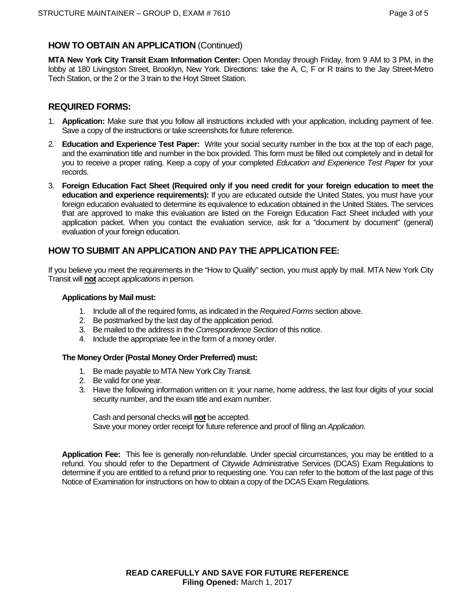## **HOW TO OBTAIN AN APPLICATION** (Continued)

**MTA New York City Transit Exam Information Center:** Open Monday through Friday, from 9 AM to 3 PM, in the lobby at 180 Livingston Street, Brooklyn, New York. Directions: take the A, C, F or R trains to the Jay Street-Metro Tech Station, or the 2 or the 3 train to the Hoyt Street Station.

## **REQUIRED FORMS:**

- 1. **Application:** Make sure that you follow all instructions included with your application, including payment of fee. Save a copy of the instructions or take screenshots for future reference.
- 2. **Education and Experience Test Paper:** Write your social security number in the box at the top of each page, and the examination title and number in the box provided. This form must be filled out completely and in detail for you to receive a proper rating. Keep a copy of your completed *Education and Experience Test Paper* for your records.
- 3. **Foreign Education Fact Sheet (Required only if you need credit for your foreign education to meet the education and experience requirements):** If you are educated outside the United States, you must have your foreign education evaluated to determine its equivalence to education obtained in the United States. The services that are approved to make this evaluation are listed on the Foreign Education Fact Sheet included with your application packet. When you contact the evaluation service, ask for a "document by document" (general) evaluation of your foreign education.

## **HOW TO SUBMIT AN APPLICATION AND PAY THE APPLICATION FEE:**

If you believe you meet the requirements in the "How to Qualify" section, you must apply by mail. MTA New York City Transit will **not** accept *applications* in person.

#### **Applications by Mail must:**

- 1. Include all of the required forms, as indicated in the *Required Forms* section above.
- 2. Be postmarked by the last day of the application period.
- 3. Be mailed to the address in the *Correspondence Section* of this notice.
- 4. Include the appropriate fee in the form of a money order.

#### **The Money Order (Postal Money Order Preferred) must:**

- 1. Be made payable to MTA New York City Transit.
- 2. Be valid for one year.
- 3. Have the following information written on it: your name, home address, the last four digits of your social security number, and the exam title and exam number.

Cash and personal checks will **not** be accepted.

Save your money order receipt for future reference and proof of filing an *Application*.

**Application Fee:** This fee is generally non-refundable. Under special circumstances, you may be entitled to a refund. You should refer to the Department of Citywide Administrative Services (DCAS) Exam Regulations to determine if you are entitled to a refund prior to requesting one. You can refer to the bottom of the last page of this Notice of Examination for instructions on how to obtain a copy of the DCAS Exam Regulations.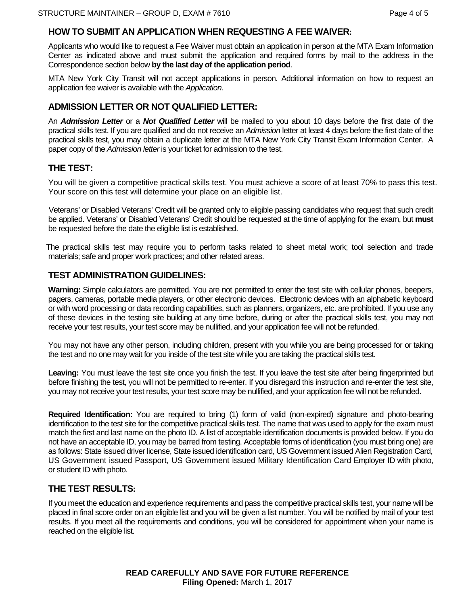#### **HOW TO SUBMIT AN APPLICATION WHEN REQUESTING A FEE WAIVER:**

Applicants who would like to request a Fee Waiver must obtain an application in person at the MTA Exam Information Center as indicated above and must submit the application and required forms by mail to the address in the Correspondence section below **by the last day of the application period**.

MTA New York City Transit will not accept applications in person. Additional information on how to request an application fee waiver is available with the *Application*.

#### **ADMISSION LETTER OR NOT QUALIFIED LETTER:**

An *Admission Letter* or a *Not Qualified Letter* will be mailed to you about 10 days before the first date of the practical skills test. If you are qualified and do not receive an *Admission* letter at least 4 days before the first date of the practical skills test, you may obtain a duplicate letter at the MTA New York City Transit Exam Information Center. A paper copy of the *Admission letter* is your ticket for admission to the test.

## **THE TEST:**

You will be given a competitive practical skills test. You must achieve a score of at least 70% to pass this test. Your score on this test will determine your place on an eligible list.

 Veterans' or Disabled Veterans' Credit will be granted only to eligible passing candidates who request that such credit be applied. Veterans' or Disabled Veterans' Credit should be requested at the time of applying for the exam, but **must** be requested before the date the eligible list is established.

 The practical skills test may require you to perform tasks related to sheet metal work; tool selection and trade materials; safe and proper work practices; and other related areas.

#### **TEST ADMINISTRATION GUIDELINES:**

**Warning:** Simple calculators are permitted. You are not permitted to enter the test site with cellular phones, beepers, pagers, cameras, portable media players, or other electronic devices. Electronic devices with an alphabetic keyboard or with word processing or data recording capabilities, such as planners, organizers, etc. are prohibited. If you use any of these devices in the testing site building at any time before, during or after the practical skills test, you may not receive your test results, your test score may be nullified, and your application fee will not be refunded.

You may not have any other person, including children, present with you while you are being processed for or taking the test and no one may wait for you inside of the test site while you are taking the practical skills test.

**Leaving:** You must leave the test site once you finish the test. If you leave the test site after being fingerprinted but before finishing the test, you will not be permitted to re-enter. If you disregard this instruction and re-enter the test site, you may not receive your test results, your test score may be nullified, and your application fee will not be refunded.

**Required Identification:** You are required to bring (1) form of valid (non-expired) signature and photo-bearing identification to the test site for the competitive practical skills test. The name that was used to apply for the exam must match the first and last name on the photo ID. A list of acceptable identification documents is provided below. If you do not have an acceptable ID, you may be barred from testing. Acceptable forms of identification (you must bring one) are as follows: State issued driver license, State issued identification card, US Government issued Alien Registration Card, US Government issued Passport, US Government issued Military Identification Card Employer ID with photo, or student ID with photo.

#### **THE TEST RESULTS:**

If you meet the education and experience requirements and pass the competitive practical skills test, your name will be placed in final score order on an eligible list and you will be given a list number. You will be notified by mail of your test results. If you meet all the requirements and conditions, you will be considered for appointment when your name is reached on the eligible list.